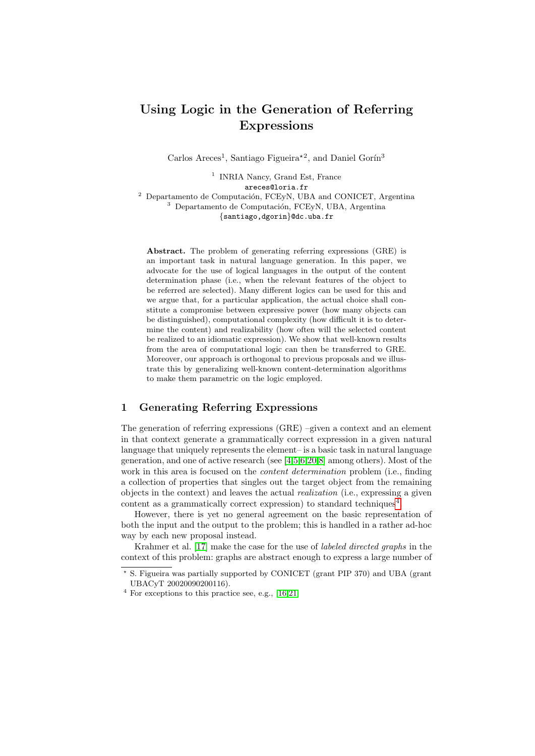# Using Logic in the Generation of Referring Expressions

Carlos Areces<sup>1</sup>, Santiago Figueira<sup>\*2</sup>, and Daniel Gorín<sup>3</sup>

<sup>1</sup> INRIA Nancy, Grand Est, France areces@loria.fr  $2$  Departamento de Computación, FCEyN, UBA and CONICET, Argentina  $3$  Departamento de Computación, FCEyN, UBA, Argentina {santiago,dgorin}@dc.uba.fr

Abstract. The problem of generating referring expressions (GRE) is an important task in natural language generation. In this paper, we advocate for the use of logical languages in the output of the content determination phase (i.e., when the relevant features of the object to be referred are selected). Many different logics can be used for this and we argue that, for a particular application, the actual choice shall constitute a compromise between expressive power (how many objects can be distinguished), computational complexity (how difficult it is to determine the content) and realizability (how often will the selected content be realized to an idiomatic expression). We show that well-known results from the area of computational logic can then be transferred to GRE. Moreover, our approach is orthogonal to previous proposals and we illustrate this by generalizing well-known content-determination algorithms to make them parametric on the logic employed.

# 1 Generating Referring Expressions

The generation of referring expressions (GRE) –given a context and an element in that context generate a grammatically correct expression in a given natural language that uniquely represents the element– is a basic task in natural language generation, and one of active research (see [\[4,](#page-15-0)[5,](#page-15-1)[6](#page-15-2)[,20,](#page-15-3)[8\]](#page-15-4) among others). Most of the work in this area is focused on the *content determination* problem (i.e., finding a collection of properties that singles out the target object from the remaining objects in the context) and leaves the actual realization (i.e., expressing a given content as a grammatically correct expression) to standard techniques<sup>[4](#page-0-0)</sup>.

However, there is yet no general agreement on the basic representation of both the input and the output to the problem; this is handled in a rather ad-hoc way by each new proposal instead.

Krahmer et al. [\[17\]](#page-15-5) make the case for the use of labeled directed graphs in the context of this problem: graphs are abstract enough to express a large number of

<sup>?</sup> S. Figueira was partially supported by CONICET (grant PIP 370) and UBA (grant UBACyT 20020090200116).

<span id="page-0-0"></span> $^4$  For exceptions to this practice see, e.g.,  $\left[ 16, 21\right]$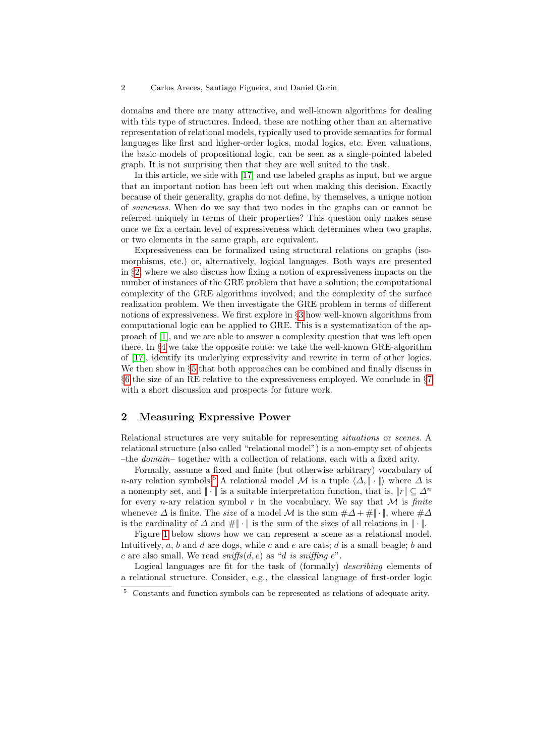domains and there are many attractive, and well-known algorithms for dealing with this type of structures. Indeed, these are nothing other than an alternative representation of relational models, typically used to provide semantics for formal languages like first and higher-order logics, modal logics, etc. Even valuations, the basic models of propositional logic, can be seen as a single-pointed labeled graph. It is not surprising then that they are well suited to the task.

In this article, we side with [\[17\]](#page-15-5) and use labeled graphs as input, but we argue that an important notion has been left out when making this decision. Exactly because of their generality, graphs do not define, by themselves, a unique notion of sameness. When do we say that two nodes in the graphs can or cannot be referred uniquely in terms of their properties? This question only makes sense once we fix a certain level of expressiveness which determines when two graphs, or two elements in the same graph, are equivalent.

Expressiveness can be formalized using structural relations on graphs (isomorphisms, etc.) or, alternatively, logical languages. Both ways are presented in §[2,](#page-1-0) where we also discuss how fixing a notion of expressiveness impacts on the number of instances of the GRE problem that have a solution; the computational complexity of the GRE algorithms involved; and the complexity of the surface realization problem. We then investigate the GRE problem in terms of different notions of expressiveness. We first explore in §[3](#page-6-0) how well-known algorithms from computational logic can be applied to GRE. This is a systematization of the approach of [\[1\]](#page-15-8), and we are able to answer a complexity question that was left open there. In §[4](#page-8-0) we take the opposite route: we take the well-known GRE-algorithm of [\[17\]](#page-15-5), identify its underlying expressivity and rewrite in term of other logics. We then show in §[5](#page-12-0) that both approaches can be combined and finally discuss in §[6](#page-13-0) the size of an RE relative to the expressiveness employed. We conclude in §[7](#page-14-0) with a short discussion and prospects for future work.

# <span id="page-1-0"></span>2 Measuring Expressive Power

Relational structures are very suitable for representing situations or scenes. A relational structure (also called "relational model") is a non-empty set of objects –the domain– together with a collection of relations, each with a fixed arity.

Formally, assume a fixed and finite (but otherwise arbitrary) vocabulary of n-ary relation symbols.<sup>[5](#page-1-1)</sup> A relational model M is a tuple  $\langle \Delta, \|\cdot\| \rangle$  where  $\Delta$  is a nonempty set, and  $\|\cdot\|$  is a suitable interpretation function, that is,  $\|r\| \subseteq \Delta^n$ for every *n*-ary relation symbol r in the vocabulary. We say that  $M$  is finite whenever  $\Delta$  is finite. The size of a model M is the sum  $\#\Delta + \#\|\cdot\|$ , where  $\#\Delta$ is the cardinality of  $\Delta$  and  $\#\|\cdot\|$  is the sum of the sizes of all relations in  $\|\cdot\|$ .

Figure [1](#page-2-0) below shows how we can represent a scene as a relational model. Intuitively,  $a, b$  and  $d$  are dogs, while  $c$  and  $e$  are cats;  $d$  is a small beagle;  $b$  and c are also small. We read  $sniffs(d, e)$  as "d is sniffing e".

Logical languages are fit for the task of (formally) *describing* elements of a relational structure. Consider, e.g., the classical language of first-order logic

<span id="page-1-1"></span><sup>5</sup> Constants and function symbols can be represented as relations of adequate arity.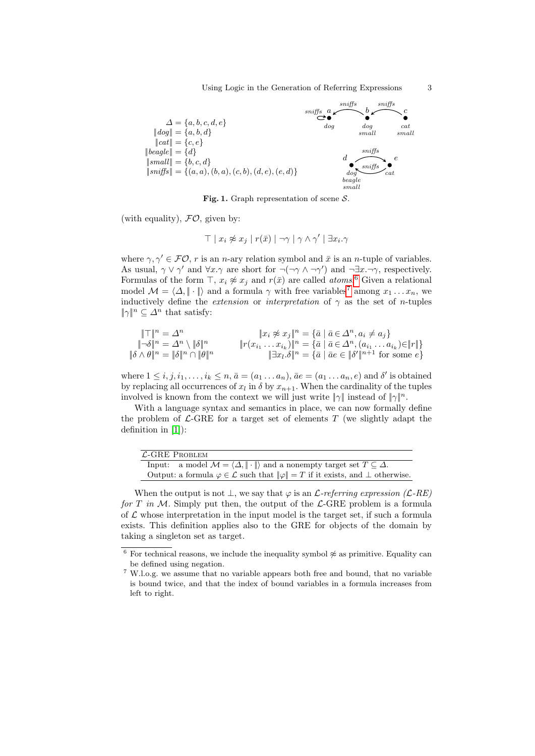Using Logic in the Generation of Referring Expressions 3



<span id="page-2-0"></span>Fig. 1. Graph representation of scene  $S$ .

(with equality),  $FO$ , given by:

$$
\top | x_i \not\approx x_j | r(\bar{x}) | \neg \gamma | \gamma \wedge \gamma' | \exists x_i. \gamma
$$

where  $\gamma, \gamma' \in \mathcal{FO}, r$  is an *n*-ary relation symbol and  $\bar{x}$  is an *n*-tuple of variables. As usual,  $\gamma \vee \gamma'$  and  $\forall x.\gamma$  are short for  $\neg(\neg \gamma \wedge \neg \gamma')$  and  $\neg \exists x.\neg \gamma$ , respectively. Formulas of the form  $\top$ ,  $x_i \not\approx x_j$  and  $r(\bar{x})$  are called *atoms*.<sup>[6](#page-2-1)</sup> Given a relational model  $\mathcal{M} = \langle \Delta, |\cdot| \rangle$  and a formula  $\gamma$  with free variables<sup>[7](#page-2-2)</sup> among  $x_1 \dots x_n$ , we inductively define the *extension* or *interpretation* of  $\gamma$  as the set of *n*-tuples  $\|\gamma\|^n \subseteq \Delta^n$  that satisfy:

$$
\begin{aligned}\n\|\top\|^n &= \Delta^n & \|\boldsymbol{x}_i \not\approx \boldsymbol{x}_j\|^n = \{\bar{a} \mid \bar{a} \in \Delta^n, a_i \neq a_j\} \\
\|\neg\delta\|^n &= \Delta^n \setminus \|\delta\|^n & \|\boldsymbol{r}(\boldsymbol{x}_{i_1} \dots \boldsymbol{x}_{i_k})\|^n = \{\bar{a} \mid \bar{a} \in \Delta^n, (a_{i_1} \dots a_{i_k}) \in \|r\|\} \\
\|\delta \wedge \theta\|^n &= \|\delta\|^n \cap \|\theta\|^n & \|\exists \boldsymbol{x}_l \cdot \delta\|^n = \{\bar{a} \mid \bar{a} \in \mathbb{N}^{\prime}\|^{n+1} \text{ for some } \epsilon\}\n\end{aligned}
$$

where  $1 \leq i, j, i_1, \ldots, i_k \leq n, \bar{a} = (a_1 \ldots a_n), \bar{a}e = (a_1 \ldots a_n, e)$  and  $\delta'$  is obtained by replacing all occurrences of  $x_l$  in  $\delta$  by  $x_{n+1}$ . When the cardinality of the tuples involved is known from the context we will just write  $\|\gamma\|$  instead of  $\|\gamma\|^n$ .

With a language syntax and semantics in place, we can now formally define the problem of  $\mathcal{L}\text{-GRE}$  for a target set of elements  $T$  (we slightly adapt the definition in [\[1\]](#page-15-8)):

| $\mathcal{L}\text{-}{\rm GRE}$ Problem                                                                            |  |  |  |
|-------------------------------------------------------------------------------------------------------------------|--|--|--|
| Input: a model $\mathcal{M} = \langle \Delta, \ \cdot\  \rangle$ and a nonempty target set $T \subseteq \Delta$ . |  |  |  |
| Output: a formula $\varphi \in \mathcal{L}$ such that $\ \varphi\  = T$ if it exists, and $\bot$ otherwise.       |  |  |  |

When the output is not  $\perp$ , we say that  $\varphi$  is an *L*-referring expression (*L-RE*) for T in M. Simply put then, the output of the  $\mathcal{L}\text{-GRE}$  problem is a formula of  $\mathcal L$  whose interpretation in the input model is the target set, if such a formula exists. This definition applies also to the GRE for objects of the domain by taking a singleton set as target.

<span id="page-2-1"></span> $^6$  For technical reasons, we include the inequality symbol  $\not\approx$  as primitive. Equality can be defined using negation.

<span id="page-2-2"></span><sup>7</sup> W.l.o.g. we assume that no variable appears both free and bound, that no variable is bound twice, and that the index of bound variables in a formula increases from left to right.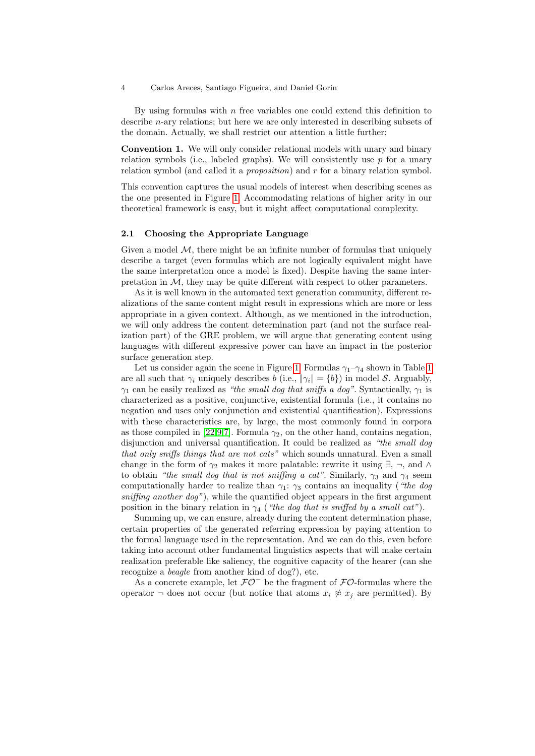By using formulas with  $n$  free variables one could extend this definition to describe n-ary relations; but here we are only interested in describing subsets of the domain. Actually, we shall restrict our attention a little further:

<span id="page-3-0"></span>Convention 1. We will only consider relational models with unary and binary relation symbols (i.e., labeled graphs). We will consistently use  $p$  for a unary relation symbol (and called it a *proposition*) and  $r$  for a binary relation symbol.

This convention captures the usual models of interest when describing scenes as the one presented in Figure [1.](#page-2-0) Accommodating relations of higher arity in our theoretical framework is easy, but it might affect computational complexity.

## 2.1 Choosing the Appropriate Language

Given a model  $M$ , there might be an infinite number of formulas that uniquely describe a target (even formulas which are not logically equivalent might have the same interpretation once a model is fixed). Despite having the same interpretation in  $M$ , they may be quite different with respect to other parameters.

As it is well known in the automated text generation community, different realizations of the same content might result in expressions which are more or less appropriate in a given context. Although, as we mentioned in the introduction, we will only address the content determination part (and not the surface realization part) of the GRE problem, we will argue that generating content using languages with different expressive power can have an impact in the posterior surface generation step.

Let us consider again the scene in Figure [1.](#page-2-0) Formulas  $\gamma_1-\gamma_4$  shown in Table [1](#page-4-0) are all such that  $\gamma_i$  uniquely describes b (i.e.,  $\|\gamma_i\| = \{b\}$ ) in model S. Arguably,  $\gamma_1$  can be easily realized as "the small dog that sniffs a dog". Syntactically,  $\gamma_1$  is characterized as a positive, conjunctive, existential formula (i.e., it contains no negation and uses only conjunction and existential quantification). Expressions with these characteristics are, by large, the most commonly found in corpora as those compiled in [\[22,](#page-15-9)[9,](#page-15-10)[7\]](#page-15-11). Formula  $\gamma_2$ , on the other hand, contains negation, disjunction and universal quantification. It could be realized as "the small dog that only sniffs things that are not cats" which sounds unnatural. Even a small change in the form of  $\gamma_2$  makes it more palatable: rewrite it using  $\exists$ ,  $\neg$ , and  $\wedge$ to obtain "the small dog that is not sniffing a cat". Similarly,  $\gamma_3$  and  $\gamma_4$  seem computationally harder to realize than  $\gamma_1$ :  $\gamma_3$  contains an inequality ("the dog sniffing another  $\log$ "), while the quantified object appears in the first argument position in the binary relation in  $\gamma_4$  ("the dog that is sniffed by a small cat").

Summing up, we can ensure, already during the content determination phase, certain properties of the generated referring expression by paying attention to the formal language used in the representation. And we can do this, even before taking into account other fundamental linguistics aspects that will make certain realization preferable like saliency, the cognitive capacity of the hearer (can she recognize a beagle from another kind of dog?), etc.

As a concrete example, let  $\mathcal{FO}^-$  be the fragment of  $\mathcal{FO}$ -formulas where the operator  $\neg$  does not occur (but notice that atoms  $x_i \not\approx x_j$  are permitted). By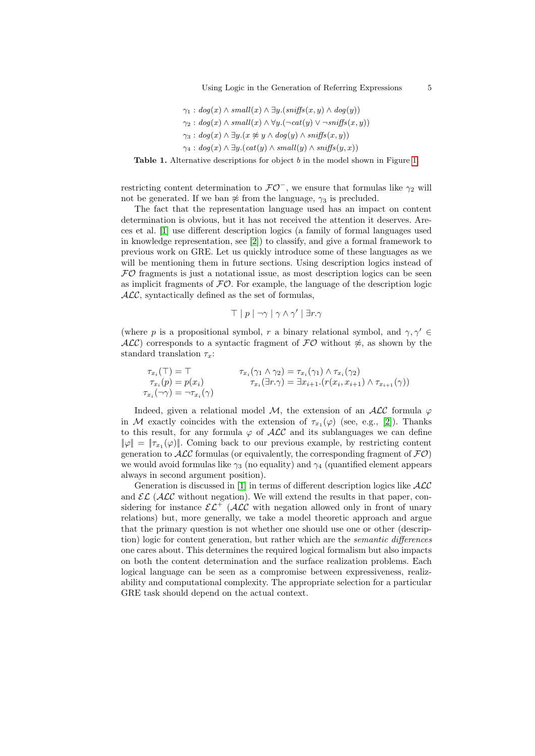Using Logic in the Generation of Referring Expressions 5

$$
\gamma_1: dog(x) \land small(x) \land \exists y. (sniffs(x, y) \land dog(y))
$$
  
\n
$$
\gamma_2: dog(x) \land small(x) \land \forall y.(\neg cat(y) \lor \neg sniffs(x, y))
$$
  
\n
$$
\gamma_3: dog(x) \land \exists y. (x \not\approx y \land dog(y) \land sniffs(x, y))
$$
  
\n
$$
\gamma_4: dog(x) \land \exists y. (cat(y) \land small(y) \land sniffs(y, x))
$$

<span id="page-4-0"></span>Table [1.](#page-2-0) Alternative descriptions for object b in the model shown in Figure 1.

restricting content determination to  $\mathcal{FO}^-$ , we ensure that formulas like  $\gamma_2$  will not be generated. If we ban  $\approx$  from the language,  $\gamma_3$  is precluded.

The fact that the representation language used has an impact on content determination is obvious, but it has not received the attention it deserves. Areces et al. [\[1\]](#page-15-8) use different description logics (a family of formal languages used in knowledge representation, see [\[2\]](#page-15-12)) to classify, and give a formal framework to previous work on GRE. Let us quickly introduce some of these languages as we will be mentioning them in future sections. Using description logics instead of  $FO$  fragments is just a notational issue, as most description logics can be seen as implicit fragments of  $\mathcal{FO}$ . For example, the language of the description logic  $ALC$ , syntactically defined as the set of formulas,

$$
\top | p | \neg \gamma | \gamma \wedge \gamma' | \exists r. \gamma
$$

(where p is a propositional symbol, r a binary relational symbol, and  $\gamma$ ,  $\gamma' \in$ ALC) corresponds to a syntactic fragment of  $\mathcal{FO}$  without  $\hat{\varkappa}$ , as shown by the standard translation  $\tau_x$ :

$$
\tau_{x_i}(\top) = \top \qquad \qquad \tau_{x_i}(\gamma_1 \wedge \gamma_2) = \tau_{x_i}(\gamma_1) \wedge \tau_{x_i}(\gamma_2) \n\tau_{x_i}(p) = p(x_i) \qquad \qquad \tau_{x_i}(\exists r.\gamma) = \exists x_{i+1} \ldotp (r(x_i, x_{i+1}) \wedge \tau_{x_{i+1}}(\gamma)) \n\tau_{x_i}(\neg \gamma) = \neg \tau_{x_i}(\gamma)
$$

Indeed, given a relational model M, the extension of an  $ALC$  formula  $\varphi$ in M exactly coincides with the extension of  $\tau_{x_1}(\varphi)$  (see, e.g., [\[2\]](#page-15-12)). Thanks to this result, for any formula  $\varphi$  of  $\mathcal{ALC}$  and its sublanguages we can define  $\|\varphi\| = \|\tau_{x_1}(\varphi)\|$ . Coming back to our previous example, by restricting content generation to  $ALC$  formulas (or equivalently, the corresponding fragment of  $FO$ ) we would avoid formulas like  $\gamma_3$  (no equality) and  $\gamma_4$  (quantified element appears always in second argument position).

Generation is discussed in [\[1\]](#page-15-8) in terms of different description logics like  $\mathcal{ALC}$ and  $\mathcal{EL}$  ( $\mathcal{ALC}$  without negation). We will extend the results in that paper, considering for instance  $\mathcal{EL}^+$  (ALC with negation allowed only in front of unary relations) but, more generally, we take a model theoretic approach and argue that the primary question is not whether one should use one or other (description) logic for content generation, but rather which are the semantic differences one cares about. This determines the required logical formalism but also impacts on both the content determination and the surface realization problems. Each logical language can be seen as a compromise between expressiveness, realizability and computational complexity. The appropriate selection for a particular GRE task should depend on the actual context.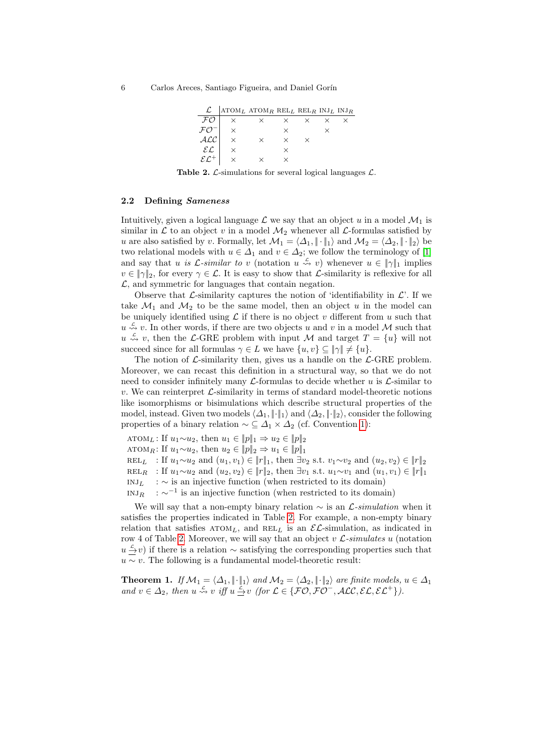| L.                       | $ATOML ATOMR$ RELL RELR INJL INJR |   |  |  |
|--------------------------|-----------------------------------|---|--|--|
|                          | ×.                                |   |  |  |
|                          |                                   | × |  |  |
|                          | ×                                 |   |  |  |
| $\mathcal{E}\mathcal{L}$ |                                   | × |  |  |
|                          |                                   |   |  |  |

<span id="page-5-0"></span>Table 2.  $\mathcal{L}$ -simulations for several logical languages  $\mathcal{L}$ .

#### 2.2 Defining Sameness

Intuitively, given a logical language  $\mathcal L$  we say that an object u in a model  $\mathcal M_1$  is similar in  $\mathcal L$  to an object v in a model  $\mathcal M_2$  whenever all  $\mathcal L$ -formulas satisfied by u are also satisfied by v. Formally, let  $\mathcal{M}_1 = \langle \Delta_1, \|\cdot\|_1 \rangle$  and  $\mathcal{M}_2 = \langle \Delta_2, \|\cdot\|_2 \rangle$  be two relational models with  $u \in \Delta_1$  and  $v \in \Delta_2$ ; we follow the terminology of [\[1\]](#page-15-8) and say that u is  $\mathcal{L}$ -similar to v (notation  $u \stackrel{\mathcal{L}}{\rightsquigarrow} v$ ) whenever  $u \in ||\gamma||_1$  implies  $v \in \|\gamma\|_2$ , for every  $\gamma \in \mathcal{L}$ . It is easy to show that  $\mathcal{L}$ -similarity is reflexive for all  $\mathcal{L}$ , and symmetric for languages that contain negation.

Observe that  $\mathcal{L}$ -similarity captures the notion of 'identifiability in  $\mathcal{L}'$ . If we take  $\mathcal{M}_1$  and  $\mathcal{M}_2$  to be the same model, then an object u in the model can be uniquely identified using  $\mathcal L$  if there is no object v different from u such that  $u \stackrel{c}{\rightsquigarrow} v$ . In other words, if there are two objects u and v in a model M such that  $u \stackrel{c}{\rightsquigarrow} v$ , then the L-GRE problem with input M and target  $T = \{u\}$  will not succeed since for all formulas  $\gamma \in L$  we have  $\{u, v\} \subseteq \|\gamma\| \neq \{u\}.$ 

The notion of  $\mathcal{L}$ -similarity then, gives us a handle on the  $\mathcal{L}$ -GRE problem. Moreover, we can recast this definition in a structural way, so that we do not need to consider infinitely many  $\mathcal{L}$ -formulas to decide whether u is  $\mathcal{L}$ -similar to v. We can reinterpret  $\mathcal{L}$ -similarity in terms of standard model-theoretic notions like isomorphisms or bisimulations which describe structural properties of the model, instead. Given two models  $\langle \Delta_1, \|\cdot\|_1 \rangle$  and  $\langle \Delta_2, \|\cdot\|_2 \rangle$ , consider the following properties of a binary relation  $\sim \subseteq \Delta_1 \times \Delta_2$  (cf. Convention [1\)](#page-3-0):

ATOML: If  $u_1 \sim u_2$ , then  $u_1 \in ||p||_1 \Rightarrow u_2 \in ||p||_2$ 

ATOMR: If  $u_1 \sim u_2$ , then  $u_2 \in ||p||_2 \Rightarrow u_1 \in ||p||_1$ 

REL<sub>L</sub> : If  $u_1 \sim u_2$  and  $(u_1, v_1) \in ||r||_1$ , then  $\exists v_2$  s.t.  $v_1 \sim v_2$  and  $(u_2, v_2) \in ||r||_2$ 

REL<sub>R</sub> : If  $u_1 \sim u_2$  and  $(u_2, v_2) \in ||r||_2$ , then ∃v<sub>1</sub> s.t.  $u_1 \sim v_1$  and  $(u_1, v_1) \in ||r||_1$ 

 $\text{INJ}_L$  :  $\sim$  is an injective function (when restricted to its domain)

INJ<sub>R</sub> :  $\sim^{-1}$  is an injective function (when restricted to its domain)

We will say that a non-empty binary relation  $\sim$  is an  $\mathcal{L}\text{-}simulation$  when it satisfies the properties indicated in Table [2.](#page-5-0) For example, a non-empty binary relation that satisfies  $A TOM_L$ , and  $REL_L$  is an  $\mathcal{EL}$ -simulation, as indicated in row 4 of Table [2.](#page-5-0) Moreover, we will say that an object v  $\mathcal{L}\text{-}simulates~u$  (notation  $u \stackrel{c}{\rightarrow} v$ ) if there is a relation ~ satisfying the corresponding properties such that  $u \sim v$ . The following is a fundamental model-theoretic result:

<span id="page-5-1"></span>**Theorem 1.** If  $\mathcal{M}_1 = \langle \Delta_1, \|\cdot\|_1 \rangle$  and  $\mathcal{M}_2 = \langle \Delta_2, \|\cdot\|_2 \rangle$  are finite models,  $u \in \Delta_1$ and  $v \in \Delta_2$ , then  $u \stackrel{c}{\leadsto} v$  iff  $u \stackrel{c}{\to} v$  (for  $\mathcal{L} \in \{ \mathcal{FO}, \mathcal{FO}^-, \mathcal{ALC}, \mathcal{EL}, \mathcal{EL}^+ \}$ ).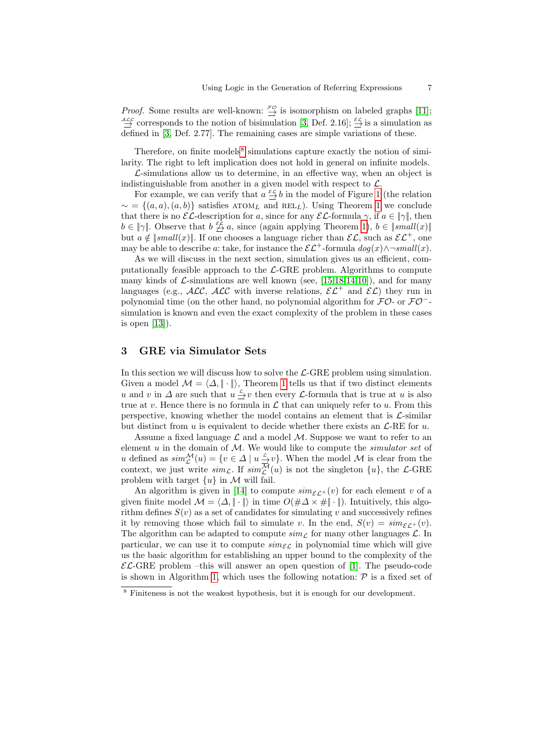*Proof.* Some results are well-known:  $\frac{r}{\rightarrow}$  is isomorphism on labeled graphs [\[11\]](#page-15-13);  $\stackrel{\text{ALC}}{\rightarrow}$  corresponds to the notion of bisimulation [\[3,](#page-15-14) Def. 2.16];  $\stackrel{\text{ECL}}{\rightarrow}$  is a simulation as defined in [\[3,](#page-15-14) Def. 2.77]. The remaining cases are simple variations of these.

Therefore, on finite models $\delta$  simulations capture exactly the notion of similarity. The right to left implication does not hold in general on infinite models.

 $\mathcal{L}$ -simulations allow us to determine, in an effective way, when an object is indistinguishable from another in a given model with respect to  $\mathcal{L}$ .

For example, we can verify that  $a \stackrel{\varepsilon c}{\to} b$  in the model of Figure [1](#page-2-0) (the relation  $\sim$  = { $(a, a), (a, b)$ } satisfies ATOM<sub>L</sub> and REL<sub>L</sub>). Using Theorem [1](#page-5-1) we conclude that there is no  $\mathcal{EL}\text{-description}$  for a, since for any  $\mathcal{EL}\text{-formula } \gamma$ , if  $a \in ||\gamma||$ , then  $b \in \|\gamma\|$ . Observe that  $b \not\stackrel{\varepsilon}{\to} a$ , since (again applying Theorem [1\)](#page-5-1),  $b \in \|small(x)\|$ but  $a \notin \text{small}(x)$ . If one chooses a language richer than  $\mathcal{EL}$ , such as  $\mathcal{EL}^+$ , one may be able to describe a: take, for instance the  $\mathcal{EL}^+$ -formula  $dog(x) \land \neg small(x)$ .

As we will discuss in the next section, simulation gives us an efficient, computationally feasible approach to the  $\mathcal{L}\text{-}GRE$  problem. Algorithms to compute many kinds of  $\mathcal{L}$ -simulations are well known (see, [\[15,](#page-15-15)[18,](#page-15-16)[14](#page-15-17)[,10\]](#page-15-18)), and for many languages (e.g., ALC, ALC with inverse relations,  $\mathcal{EL}^+$  and  $\mathcal{EL}$ ) they run in polynomial time (on the other hand, no polynomial algorithm for  $\mathcal{FO}$ -or  $\mathcal{FO}^{-}$ simulation is known and even the exact complexity of the problem in these cases is open [\[13\]](#page-15-19)).

# <span id="page-6-0"></span>3 GRE via Simulator Sets

In this section we will discuss how to solve the  $\mathcal{L}\text{-GRE}$  problem using simulation. Given a model  $\mathcal{M} = \langle \Delta, || \cdot || \rangle$ , Theorem [1](#page-5-1) tells us that if two distinct elements u and v in  $\Delta$  are such that  $u \leq v$  then every  $\mathcal L$ -formula that is true at u is also true at v. Hence there is no formula in  $\mathcal L$  that can uniquely refer to u. From this perspective, knowing whether the model contains an element that is  $\mathcal{L}$ -similar but distinct from u is equivalent to decide whether there exists an  $\mathcal{L}\text{-RE}$  for u.

Assume a fixed language  $\mathcal L$  and a model  $\mathcal M$ . Suppose we want to refer to an element  $u$  in the domain of  $M$ . We would like to compute the *simulator set* of u defined as  $sim^{\mathcal{M}}_{\mathcal{L}}(u) = \{v \in \Delta \mid u \stackrel{c}{\to} v\}.$  When the model  $\mathcal{M}$  is clear from the context, we just write  $\text{sim}_{\mathcal{L}}$ . If  $\text{sim}_{\mathcal{L}}^{\overline{\mathcal{M}}}(u)$  is not the singleton  $\{u\}$ , the  $\mathcal{L}\text{-GRE}$ problem with target  $\{u\}$  in M will fail.

An algorithm is given in [\[14\]](#page-15-17) to compute  $\lim_{\mathcal{E}\subset\mathcal{E}}(v)$  for each element v of a given finite model  $\mathcal{M} = \langle \Delta, || \cdot || \rangle$  in time  $O(\#\Delta \times \#|| \cdot ||)$ . Intuitively, this algorithm defines  $S(v)$  as a set of candidates for simulating v and successively refines it by removing those which fail to simulate v. In the end,  $S(v) = sim_{\mathcal{E} \mathcal{L}^+}(v)$ . The algorithm can be adapted to compute  $\sin \theta$  for many other languages  $\mathcal{L}$ . In particular, we can use it to compute  $\text{sim}_{\mathcal{EL}}$  in polynomial time which will give us the basic algorithm for establishing an upper bound to the complexity of the  $\mathcal{EL}$ -GRE problem –this will answer an open question of [\[1\]](#page-15-8). The pseudo-code is shown in Algorithm [1,](#page-7-0) which uses the following notation:  $\mathcal P$  is a fixed set of

<span id="page-6-1"></span><sup>8</sup> Finiteness is not the weakest hypothesis, but it is enough for our development.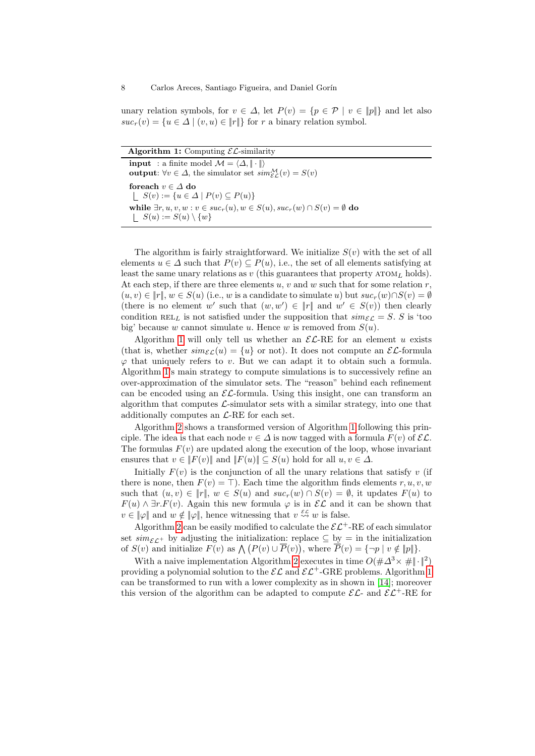unary relation symbols, for  $v \in \Delta$ , let  $P(v) = \{p \in \mathcal{P} \mid v \in ||p||\}$  and let also  $suc_r(v) = \{u \in \Delta \mid (v, u) \in ||r||\}$  for r a binary relation symbol.

<span id="page-7-0"></span>

| <b>Algorithm 1:</b> Computing $\mathcal{EL}$ -similarity                                                                |
|-------------------------------------------------------------------------------------------------------------------------|
| <b>input</b> : a finite model $\mathcal{M} = \langle \Delta, \ \cdot\  \rangle$                                         |
| <b>output:</b> $\forall v \in \Delta$ , the simulator set $\text{sim}_{\mathcal{E}\mathcal{L}}^{\mathcal{M}}(v) = S(v)$ |
| foreach $v \in \Delta$ do                                                                                               |
| $\vert S(v) := \{u \in \Delta \mid P(v) \subseteq P(u)\}\$                                                              |
| while $\exists r, u, v, w : v \in suc_r(u), w \in S(u), suc_r(w) \cap S(v) = \emptyset$ do                              |
| $S(u) := S(u) \setminus \{w\}$                                                                                          |

The algorithm is fairly straightforward. We initialize  $S(v)$  with the set of all elements  $u \in \Delta$  such that  $P(v) \subseteq P(u)$ , i.e., the set of all elements satisfying at least the same unary relations as  $v$  (this guarantees that property  $A_{T}$  holds). At each step, if there are three elements u, v and w such that for some relation  $r$ ,  $(u, v) \in ||r||, w \in S(u)$  (i.e., w is a candidate to simulate u) but  $suc_r(w) \cap S(v) = \emptyset$ (there is no element w' such that  $(w, w') \in ||r||$  and  $w' \in S(v)$ ) then clearly condition REL<sub>L</sub> is not satisfied under the supposition that  $\text{sim}_{\mathcal{E}\mathcal{L}} = S$ . S is 'too big' because w cannot simulate u. Hence w is removed from  $S(u)$ .

Algorithm [1](#page-7-0) will only tell us whether an  $\mathcal{EL}-RE$  for an element u exists (that is, whether  $\text{sim}_{\mathcal{E}\mathcal{L}}(u) = \{u\}$  or not). It does not compute an  $\mathcal{E}\mathcal{L}$ -formula  $\varphi$  that uniquely refers to v. But we can adapt it to obtain such a formula. Algorithm [1'](#page-7-0)s main strategy to compute simulations is to successively refine an over-approximation of the simulator sets. The "reason" behind each refinement can be encoded using an  $\mathcal{EL}$ -formula. Using this insight, one can transform an algorithm that computes  $\mathcal{L}$ -simulator sets with a similar strategy, into one that additionally computes an  $\mathcal{L}$ -RE for each set.

Algorithm [2](#page-8-1) shows a transformed version of Algorithm [1](#page-7-0) following this principle. The idea is that each node  $v \in \Delta$  is now tagged with a formula  $F(v)$  of  $\mathcal{EL}$ . The formulas  $F(v)$  are updated along the execution of the loop, whose invariant ensures that  $v \in ||F(v)||$  and  $||F(u)|| \subseteq S(u)$  hold for all  $u, v \in \Delta$ .

Initially  $F(v)$  is the conjunction of all the unary relations that satisfy v (if there is none, then  $F(v) = \top$ ). Each time the algorithm finds elements r, u, v, w such that  $(u, v) \in ||r||$ ,  $w \in S(u)$  and  $suc_r(w) \cap S(v) = \emptyset$ , it updates  $F(u)$  to  $F(u) \wedge \exists r.F(v)$ . Again this new formula  $\varphi$  is in  $\mathcal{EL}$  and it can be shown that  $v \in \|\varphi\|$  and  $w \notin \|\varphi\|$ , hence witnessing that  $v \stackrel{\varepsilon c}{\leadsto} w$  is false.

Algorithm [2](#page-8-1) can be easily modified to calculate the  $\mathcal{EL}^+$ -RE of each simulator set  $\sin \epsilon_{\mathcal{L}}$ + by adjusting the initialization: replace  $\subseteq$  by = in the initialization of  $S(v)$  and initialize  $F(v)$  as  $\bigwedge (P(v) \cup \overline{P}(v))$ , where  $\overline{P}(v) = {\neg p \mid v \notin \|p\|}.$ 

With a naive implementation Algorithm [2](#page-8-1) executes in time  $O(\# \Delta^3 \times \# \|\cdot\|^2)$ providing a polynomial solution to the  $\mathcal{EL}$  and  $\mathcal{EL}^+$ -GRE problems. Algorithm [1](#page-7-0) can be transformed to run with a lower complexity as in shown in [\[14\]](#page-15-17); moreover this version of the algorithm can be adapted to compute  $\mathcal{EL}$ - and  $\mathcal{EL}^+$ -RE for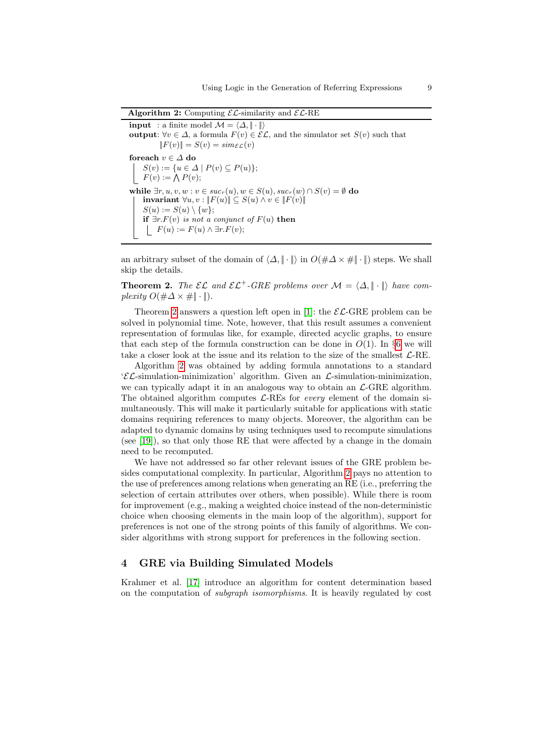Algorithm 2: Computing  $\mathcal{EL}$ -similarity and  $\mathcal{EL}$ -RE

**input** : a finite model  $\mathcal{M} = \langle \Delta, \|\cdot\| \rangle$ output:  $\forall v \in \Delta$ , a formula  $F(v) \in \mathcal{EL}$ , and the simulator set  $S(v)$  such that  $||F(v)|| = S(v) = sim_{\mathcal{EL}}(v)$ foreach  $v \in \Delta$  do  $S(v) := \{u \in \Delta \mid P(v) \subseteq P(u)\};$  $F(v) := \bigwedge P(v);$ while  $\exists r, u, v, w : v \in succ_r(u), w \in S(u), succ_r(w) \cap S(v) = \emptyset$  do invariant  $\forall u, v : \|F(u)\| \subseteq S(u) \land v \in \|F(v)\|$  $S(u) := S(u) \setminus \{w\};$ if  $\exists r.F(v)$  is not a conjunct of  $F(u)$  then  $F(u) := F(u) \wedge \exists r.F(v);$ 

<span id="page-8-1"></span>an arbitrary subset of the domain of  $\langle \Delta, || \cdot || \rangle$  in  $O(\# \Delta \times \# || \cdot ||)$  steps. We shall skip the details.

<span id="page-8-2"></span>**Theorem 2.** The  $\mathcal{EL}$  and  $\mathcal{EL}^+$ -GRE problems over  $\mathcal{M} = \langle \Delta, \|\cdot\| \rangle$  have complexity  $O(\#\Delta \times \#\|\cdot\|)$ .

Theorem [2](#page-8-2) answers a question left open in [\[1\]](#page-15-8): the  $\mathcal{EL}$ -GRE problem can be solved in polynomial time. Note, however, that this result assumes a convenient representation of formulas like, for example, directed acyclic graphs, to ensure that each step of the formula construction can be done in  $O(1)$ . In §[6](#page-13-0) we will take a closer look at the issue and its relation to the size of the smallest  $\mathcal{L}\text{-RE}$ .

Algorithm [2](#page-8-1) was obtained by adding formula annotations to a standard  $\mathcal{E} \mathcal{L}$ -simulation-minimization' algorithm. Given an  $\mathcal{L}$ -simulation-minimization, we can typically adapt it in an analogous way to obtain an  $\mathcal{L}$ -GRE algorithm. The obtained algorithm computes  $\mathcal{L}$ -REs for *every* element of the domain simultaneously. This will make it particularly suitable for applications with static domains requiring references to many objects. Moreover, the algorithm can be adapted to dynamic domains by using techniques used to recompute simulations (see [\[19\]](#page-15-20)), so that only those RE that were affected by a change in the domain need to be recomputed.

We have not addressed so far other relevant issues of the GRE problem besides computational complexity. In particular, Algorithm [2](#page-8-1) pays no attention to the use of preferences among relations when generating an RE (i.e., preferring the selection of certain attributes over others, when possible). While there is room for improvement (e.g., making a weighted choice instead of the non-deterministic choice when choosing elements in the main loop of the algorithm), support for preferences is not one of the strong points of this family of algorithms. We consider algorithms with strong support for preferences in the following section.

# <span id="page-8-0"></span>4 GRE via Building Simulated Models

Krahmer et al. [\[17\]](#page-15-5) introduce an algorithm for content determination based on the computation of subgraph isomorphisms. It is heavily regulated by cost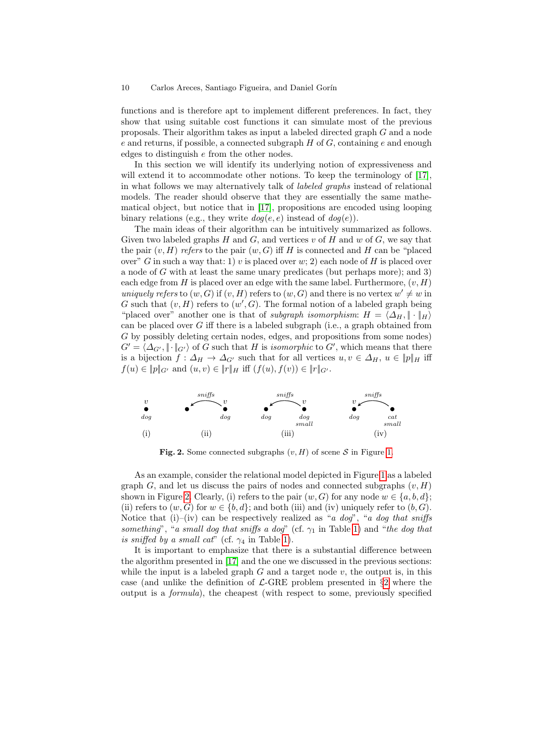functions and is therefore apt to implement different preferences. In fact, they show that using suitable cost functions it can simulate most of the previous proposals. Their algorithm takes as input a labeled directed graph G and a node  $e$  and returns, if possible, a connected subgraph  $H$  of  $G$ , containing  $e$  and enough edges to distinguish e from the other nodes.

In this section we will identify its underlying notion of expressiveness and will extend it to accommodate other notions. To keep the terminology of [\[17\]](#page-15-5), in what follows we may alternatively talk of labeled graphs instead of relational models. The reader should observe that they are essentially the same mathematical object, but notice that in [\[17\]](#page-15-5), propositions are encoded using looping binary relations (e.g., they write  $\text{dog}(e, e)$  instead of  $\text{dog}(e)$ ).

The main ideas of their algorithm can be intuitively summarized as follows. Given two labeled graphs  $H$  and  $G$ , and vertices  $v$  of  $H$  and  $w$  of  $G$ , we say that the pair  $(v, H)$  refers to the pair  $(w, G)$  iff H is connected and H can be "placed" over" G in such a way that: 1) v is placed over w; 2) each node of H is placed over a node of  $G$  with at least the same unary predicates (but perhaps more); and 3) each edge from H is placed over an edge with the same label. Furthermore,  $(v, H)$ uniquely refers to  $(w, G)$  if  $(v, H)$  refers to  $(w, G)$  and there is no vertex  $w' \neq w$  in G such that  $(v, H)$  refers to  $(w', G)$ . The formal notion of a labeled graph being "placed over" another one is that of *subgraph isomorphism:*  $H = \langle \Delta_H, \cdot \cdot \cdot \rangle_H$ can be placed over  $G$  iff there is a labeled subgraph (i.e., a graph obtained from G by possibly deleting certain nodes, edges, and propositions from some nodes)  $G' = \langle \Delta_{G'}, \|\cdot\|_{G'}\rangle$  of G such that H is isomorphic to G', which means that there is a bijection  $f: \Delta_H \to \Delta_{G'}$  such that for all vertices  $u, v \in \Delta_H$ ,  $u \in ||p||_H$  iff  $f(u) \in ||p||_{G'}$  and  $(u, v) \in ||r||_H$  iff  $(f(u), f(v)) \in ||r||_{G'}$ .



<span id="page-9-0"></span>Fig. 2. Some connected subgraphs  $(v, H)$  of scene S in Figure [1.](#page-2-0)

As an example, consider the relational model depicted in Figure [1](#page-2-0) as a labeled graph G, and let us discuss the pairs of nodes and connected subgraphs  $(v, H)$ shown in Figure [2.](#page-9-0) Clearly, (i) refers to the pair  $(w, G)$  for any node  $w \in \{a, b, d\}$ ; (ii) refers to  $(w, G)$  for  $w \in \{b, d\}$ ; and both (iii) and (iv) uniquely refer to  $(b, G)$ . Notice that (i)–(iv) can be respectively realized as "a dog", "a dog that sniffs something", "a small dog that sniffs a dog" (cf.  $\gamma_1$  in Table [1\)](#page-4-0) and "the dog that is sniffed by a small cat" (cf.  $\gamma_4$  in Table [1\)](#page-4-0).

It is important to emphasize that there is a substantial difference between the algorithm presented in [\[17\]](#page-15-5) and the one we discussed in the previous sections: while the input is a labeled graph  $G$  and a target node  $v$ , the output is, in this case (and unlike the definition of  $\mathcal{L}\text{-GRE}$  problem presented in §[2](#page-1-0) where the output is a formula), the cheapest (with respect to some, previously specified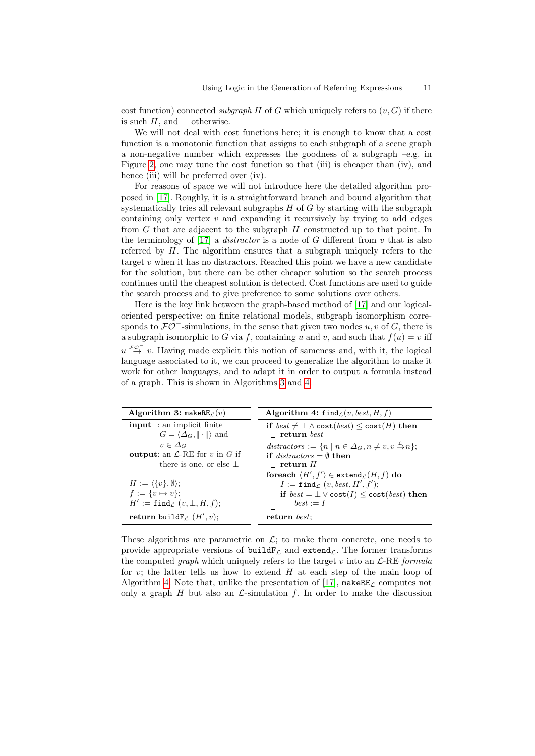cost function) connected subgraph H of G which uniquely refers to  $(v, G)$  if there is such H, and  $\perp$  otherwise.

We will not deal with cost functions here; it is enough to know that a cost function is a monotonic function that assigns to each subgraph of a scene graph a non-negative number which expresses the goodness of a subgraph –e.g. in Figure [2,](#page-9-0) one may tune the cost function so that (iii) is cheaper than (iv), and hence (iii) will be preferred over (iv).

For reasons of space we will not introduce here the detailed algorithm proposed in [\[17\]](#page-15-5). Roughly, it is a straightforward branch and bound algorithm that systematically tries all relevant subgraphs  $H$  of  $G$  by starting with the subgraph containing only vertex  $v$  and expanding it recursively by trying to add edges from G that are adjacent to the subgraph H constructed up to that point. In the terminology of  $[17]$  a *distractor* is a node of G different from  $v$  that is also referred by  $H$ . The algorithm ensures that a subgraph uniquely refers to the target  $v$  when it has no distractors. Reached this point we have a new candidate for the solution, but there can be other cheaper solution so the search process continues until the cheapest solution is detected. Cost functions are used to guide the search process and to give preference to some solutions over others.

Here is the key link between the graph-based method of [\[17\]](#page-15-5) and our logicaloriented perspective: on finite relational models, subgraph isomorphism corresponds to  $\mathcal{FO}^-$ -simulations, in the sense that given two nodes  $u, v$  of G, there is a subgraph isomorphic to G via f, containing u and v, and such that  $f(u) = v$  iff  $u \stackrel{\mathcal{F}^{\mathcal{O}^-}}{\to} v$ . Having made explicit this notion of sameness and, with it, the logical language associated to it, we can proceed to generalize the algorithm to make it work for other languages, and to adapt it in order to output a formula instead of a graph. This is shown in Algorithms [3](#page-10-0) and [4.](#page-10-1)

<span id="page-10-1"></span><span id="page-10-0"></span>

| Algorithm 3: makeRE $\mathcal{L}(v)$                 | Algorithm 4: $\text{find}_{\mathcal{L}}(v, best, H, f)$                              |
|------------------------------------------------------|--------------------------------------------------------------------------------------|
| <b>input</b> : an implicit finite                    | if $best \neq \bot \land cost(best) \leq cost(H)$ then                               |
| $G = \langle \Delta_G, \ \cdot\  \rangle$ and        | $\perp$ return best                                                                  |
| $v \in \Delta_G$                                     | distractors := $\{n \mid n \in \Delta_G, n \neq v, v \stackrel{c}{\rightarrow} n\};$ |
| <b>output:</b> an $\mathcal{L}$ -RE for v in G if    | if distractors $= \emptyset$ then                                                    |
| there is one, or else $\perp$                        | $\perp$ return H                                                                     |
|                                                      | foreach $\langle H', f' \rangle \in$ extend $_L(H, f)$ do                            |
| $H := \langle \{v\}, \emptyset \rangle;$             | $I := \texttt{find}_{\mathcal{L}} (v, best, H', f');$                                |
| $f := \{v \mapsto v\};$                              | if $best = \bot \vee cost(I) \le cost(best)$ then                                    |
| $H' := \texttt{find}_{\mathcal{L}} (v, \bot, H, f);$ | $\perp$ best := I                                                                    |
| return build $F_{\mathcal{L}}(H', v)$ ;              | return best:                                                                         |

These algorithms are parametric on  $\mathcal{L}$ ; to make them concrete, one needs to provide appropriate versions of build $F<sub>C</sub>$  and extend<sub> $C$ </sub>. The former transforms the computed *graph* which uniquely refers to the target v into an  $\mathcal{L}\text{-RE formula}$ for v; the latter tells us how to extend  $H$  at each step of the main loop of Algorithm [4.](#page-10-1) Note that, unlike the presentation of [\[17\]](#page-15-5), makeRE<sub> $\mathcal{L}$ </sub> computes not only a graph H but also an  $\mathcal{L}$ -simulation f. In order to make the discussion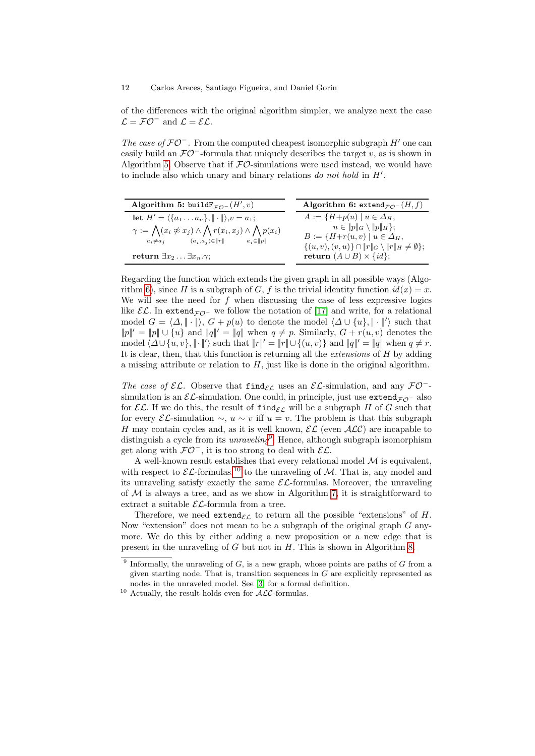of the differences with the original algorithm simpler, we analyze next the case  $\mathcal{L} = \mathcal{FO}^-$  and  $\mathcal{L} = \mathcal{EL}$ .

The case of  $\mathcal{FO}^-$ . From the computed cheapest isomorphic subgraph H' one can easily build an  $\mathcal{FO}^-$ -formula that uniquely describes the target v, as is shown in Algorithm [5.](#page-11-0) Observe that if  $\mathcal{FO}\text{-}\mathrm{simulations}$  were used instead, we would have to include also which unary and binary relations  $do$  not hold in  $H'$ .

<span id="page-11-1"></span><span id="page-11-0"></span>

| Algorithm 5: buildF $_{\mathcal{FO}^-}(H', v)$                                                                                                                                                                                                                                     | Algorithm 6: extend <sub><math>\tau \varphi</math></sub> ( <i>H</i> , <i>f</i> )                                                                                                                                                      |  |
|------------------------------------------------------------------------------------------------------------------------------------------------------------------------------------------------------------------------------------------------------------------------------------|---------------------------------------------------------------------------------------------------------------------------------------------------------------------------------------------------------------------------------------|--|
| let $H' = \langle \{a_1 \ldots a_n\}, \ \cdot\  \rangle, v = a_1;$<br>$\gamma := \bigwedge (x_i \not\approx x_j) \wedge \bigwedge r(x_i, x_j) \wedge \bigwedge p(x_i)$<br>$a_i \neq a_j$ $(a_i, a_j) \in   r  $ $a_i \in   p  $<br>return $\exists x_2 \ldots \exists x_n.\gamma;$ | $A := \{H + p(u) \mid u \in \Delta_H,$<br>$u \in   p  _G \setminus   p  _H$ ;<br>$B := \{H+r(u,v) \mid u \in \Delta_H,$<br>$\{(u, v), (v, u)\}\cap   r  _G \setminus   r  _H \neq \emptyset\};$<br>return $(A \cup B) \times \{id\};$ |  |

Regarding the function which extends the given graph in all possible ways (Algo-rithm [6\)](#page-11-1), since H is a subgraph of G, f is the trivial identity function  $id(x) = x$ . We will see the need for  $f$  when discussing the case of less expressive logics like  $\mathcal{EL}$ . In extend<sub>FO</sub>- we follow the notation of [\[17\]](#page-15-5) and write, for a relational model  $G = \langle \Delta, \|\cdot\| \rangle$ ,  $G + p(u)$  to denote the model  $\langle \Delta \cup \{u\}, \|\cdot\|' \rangle$  such that  $||p||' = ||p|| \cup \{u\}$  and  $||q||' = ||q||$  when  $q \neq p$ . Similarly,  $G + r(u, v)$  denotes the model  $\langle \Delta \cup \{u, v\}, || \cdot ||' \rangle$  such that  $||r||' = ||r|| \cup \{(u, v)\}\$  and  $||q||' = ||q||$  when  $q \neq r$ . It is clear, then, that this function is returning all the extensions of H by adding a missing attribute or relation to  $H$ , just like is done in the original algorithm.

The case of  $\mathcal{EL}$ . Observe that find<sub> $\mathcal{EL}$ </sub> uses an  $\mathcal{EL}$ -simulation, and any  $\mathcal{FO}^-$ simulation is an  $\mathcal{EL}$ -simulation. One could, in principle, just use extend $_{\mathcal{FO}}$ - also for  $\mathcal{EL}$ . If we do this, the result of find<sub> $\mathcal{EL}$ </sub> will be a subgraph H of G such that for every  $\mathcal{EL}$ -simulation  $\sim$ ,  $u \sim v$  iff  $u = v$ . The problem is that this subgraph H may contain cycles and, as it is well known,  $\mathcal{EL}$  (even  $\mathcal{ALC}$ ) are incapable to distinguish a cycle from its *unraveling*<sup>[9](#page-11-2)</sup>. Hence, although subgraph isomorphism get along with  $\mathcal{FO}^-$ , it is too strong to deal with  $\mathcal{EL}$ .

A well-known result establishes that every relational model  $M$  is equivalent. with respect to  $\mathcal{EL}$ -formulas,<sup>[10](#page-11-3)</sup> to the unraveling of M. That is, any model and its unraveling satisfy exactly the same  $\mathcal{EL}$ -formulas. Moreover, the unraveling of  $M$  is always a tree, and as we show in Algorithm [7,](#page-12-1) it is straightforward to extract a suitable  $\mathcal{EL}$ -formula from a tree.

Therefore, we need extend<sub> $\mathcal{E}$ </sub> to return all the possible "extensions" of H. Now "extension" does not mean to be a subgraph of the original graph  $G$  anymore. We do this by either adding a new proposition or a new edge that is present in the unraveling of  $G$  but not in  $H$ . This is shown in Algorithm [8.](#page-12-2)

<span id="page-11-2"></span><sup>&</sup>lt;sup>9</sup> Informally, the unraveling of  $G$ , is a new graph, whose points are paths of  $G$  from a given starting node. That is, transition sequences in  $G$  are explicitly represented as nodes in the unraveled model. See [\[3\]](#page-15-14) for a formal definition.

<span id="page-11-3"></span> $^{10}$  Actually, the result holds even for  $\mathcal{ALC}\text{-formulas.}$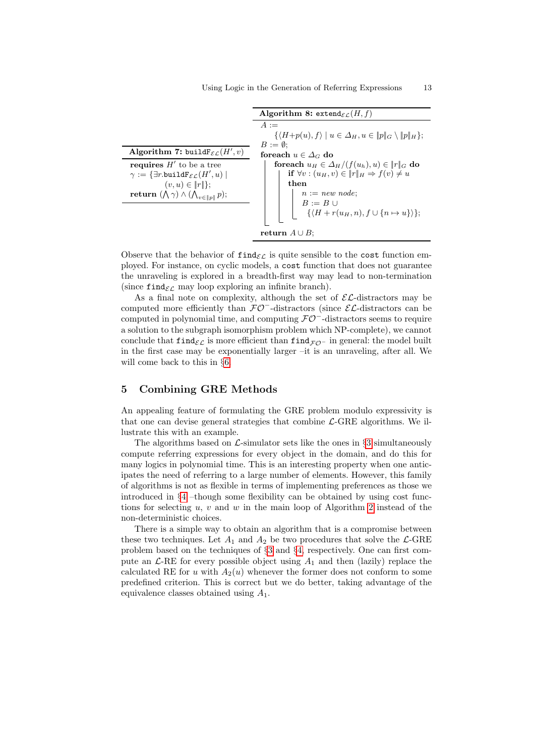<span id="page-12-2"></span><span id="page-12-1"></span>

|                                                                   | Algorithm 8: extend $_{\mathcal{EL}}(H, f)$                                           |  |
|-------------------------------------------------------------------|---------------------------------------------------------------------------------------|--|
|                                                                   | $A :=$                                                                                |  |
|                                                                   | $\{\langle H+p(u), f\rangle \mid u \in \Delta_H, u \in   p  _G \setminus   p  _H\};\$ |  |
|                                                                   | $B := \emptyset$ :                                                                    |  |
| Algorithm 7: build $F_{\mathcal{EL}}(H', v)$                      | foreach $u \in \Delta_G$ do                                                           |  |
| <b>requires</b> $H'$ to be a tree                                 | foreach $u_H \in \Delta_H/(f(u_h), u) \in   r  _G$ do                                 |  |
| $\gamma := \{\exists r.\mathtt{buildF}_{\mathcal{EL}}(H',u) \mid$ | if $\forall v : (u_H, v) \in   r  _H \Rightarrow f(v) \neq u$                         |  |
| $(v, u) \in   r  ;$                                               | then                                                                                  |  |
| return $(\bigwedge \gamma) \wedge (\bigwedge_{v \in   p  } p);$   | $n := new node;$<br>$B := B \cup$                                                     |  |
|                                                                   |                                                                                       |  |
|                                                                   | $\{\langle H+r(u_H,n), f\cup\{n\mapsto u\}\rangle\};$                                 |  |
|                                                                   |                                                                                       |  |
|                                                                   | return $A \cup B$ :                                                                   |  |

Observe that the behavior of  $\text{find}_{\mathcal{EL}}$  is quite sensible to the cost function employed. For instance, on cyclic models, a cost function that does not guarantee the unraveling is explored in a breadth-first way may lead to non-termination (since find<sub> $\epsilon$ C</sub> may loop exploring an infinite branch).

As a final note on complexity, although the set of  $\mathcal{EL}$ -distractors may be computed more efficiently than  $\mathcal{FO}^-$ -distractors (since  $\mathcal{EL}$ -distractors can be computed in polynomial time, and computing  $\mathcal{FO}^-$ -distractors seems to require a solution to the subgraph isomorphism problem which NP-complete), we cannot conclude that find $\epsilon$ <sub>L</sub> is more efficient than find<sub>FO</sub>− in general: the model built in the first case may be exponentially larger –it is an unraveling, after all. We will come back to this in §[6.](#page-13-0)

# <span id="page-12-0"></span>5 Combining GRE Methods

An appealing feature of formulating the GRE problem modulo expressivity is that one can devise general strategies that combine  $\mathcal{L}$ -GRE algorithms. We illustrate this with an example.

The algorithms based on  $\mathcal{L}\text{-simulator sets}$  like the ones in §[3](#page-6-0) simultaneously compute referring expressions for every object in the domain, and do this for many logics in polynomial time. This is an interesting property when one anticipates the need of referring to a large number of elements. However, this family of algorithms is not as flexible in terms of implementing preferences as those we introduced in  $\S4$  $\S4$  –though some flexibility can be obtained by using cost functions for selecting  $u, v$  and  $w$  in the main loop of Algorithm [2](#page-8-1) instead of the non-deterministic choices.

There is a simple way to obtain an algorithm that is a compromise between these two techniques. Let  $A_1$  and  $A_2$  be two procedures that solve the  $\mathcal{L}\text{-}GRE$ problem based on the techniques of §[3](#page-6-0) and §[4,](#page-8-0) respectively. One can first compute an  $\mathcal{L}\text{-RE}$  for every possible object using  $A_1$  and then (lazily) replace the calculated RE for u with  $A_2(u)$  whenever the former does not conform to some predefined criterion. This is correct but we do better, taking advantage of the equivalence classes obtained using  $A_1$ .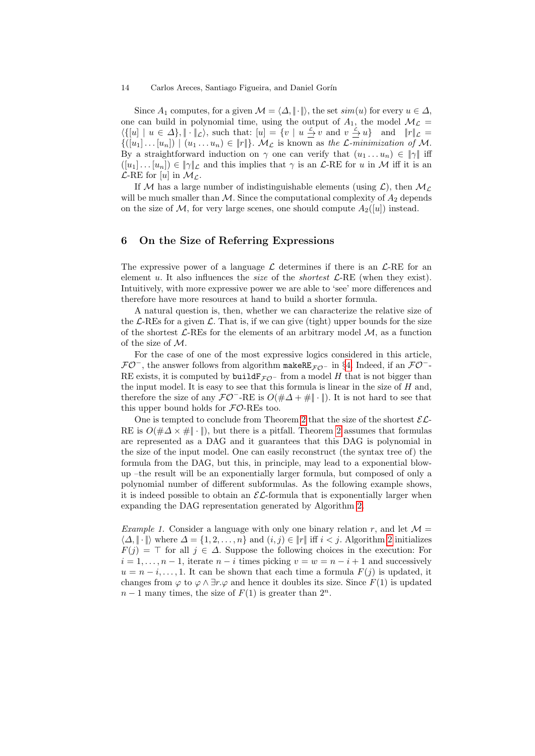Since  $A_1$  computes, for a given  $\mathcal{M} = \langle \Delta, \|\cdot\| \rangle$ , the set  $\text{sim}(u)$  for every  $u \in \Delta$ , one can build in polynomial time, using the output of  $A_1$ , the model  $\mathcal{M}_{\mathcal{L}} =$  $\langle \{ [u] \mid u \in \Delta \}, \| \cdot \|_{\mathcal{L}} \rangle$ , such that:  $[u] = \{ v \mid u \leq v \text{ and } v \leq u \}$  and  $\| r \|_{\mathcal{L}} =$  $\{([u_1] \dots [u_n]) \mid (u_1 \dots u_n) \in ||r||\}$ .  $\mathcal{M}_\mathcal{L}$  is known as the  $\mathcal{L}$ -minimization of  $\mathcal{M}$ . By a straightforward induction on  $\gamma$  one can verify that  $(u_1 \dots u_n) \in ||\gamma||$  iff  $([u_1] \dots [u_n]) \in \|\gamma\|_{\mathcal{L}}$  and this implies that  $\gamma$  is an  $\mathcal{L}$ -RE for u in M iff it is an  $\mathcal{L}\text{-RE}$  for [u] in  $\mathcal{M}_{\mathcal{L}}$ .

If M has a large number of indistinguishable elements (using  $\mathcal{L}$ ), then  $\mathcal{M}_{\mathcal{L}}$ will be much smaller than  $M$ . Since the computational complexity of  $A_2$  depends on the size of M, for very large scenes, one should compute  $A_2([u])$  instead.

# <span id="page-13-0"></span>6 On the Size of Referring Expressions

The expressive power of a language  $\mathcal L$  determines if there is an  $\mathcal L$ -RE for an element u. It also influences the *size* of the *shortest*  $\mathcal{L}$ -RE (when they exist). Intuitively, with more expressive power we are able to 'see' more differences and therefore have more resources at hand to build a shorter formula.

A natural question is, then, whether we can characterize the relative size of the  $\mathcal{L}\text{-}\text{RES}$  for a given  $\mathcal{L}\text{-}\text{That is, if we can give (tight) upper bounds for the size }$ of the shortest  $\mathcal{L}\text{-REs}$  for the elements of an arbitrary model  $\mathcal{M}$ , as a function of the size of M.

For the case of one of the most expressive logics considered in this article,  $\mathcal{FO}^-$ , the answer follows from algorithm makeRE<sub> $\mathcal{FO}^-$ </sub> in §[4.](#page-8-0) Indeed, if an  $\mathcal{FO}^-$ -RE exists, it is computed by  $build \mathbf{F}_{\mathcal{FO}}$ - from a model H that is not bigger than the input model. It is easy to see that this formula is linear in the size of  $H$  and, therefore the size of any  $\mathcal{FO}^-$ -RE is  $O(\#\Delta + \# \|\cdot\|)$ . It is not hard to see that this upper bound holds for  $\mathcal{FO}\text{-}\text{RES}$  too.

One is tempted to conclude from Theorem [2](#page-8-2) that the size of the shortest  $\mathcal{EL}$ -RE is  $O(\#\Delta \times \# \cdot \| \cdot \|)$ , but there is a pitfall. Theorem [2](#page-8-2) assumes that formulas are represented as a DAG and it guarantees that this DAG is polynomial in the size of the input model. One can easily reconstruct (the syntax tree of) the formula from the DAG, but this, in principle, may lead to a exponential blowup –the result will be an exponentially larger formula, but composed of only a polynomial number of different subformulas. As the following example shows, it is indeed possible to obtain an  $\mathcal{EL}$ -formula that is exponentially larger when expanding the DAG representation generated by Algorithm [2.](#page-8-1)

<span id="page-13-1"></span>*Example 1.* Consider a language with only one binary relation r, and let  $\mathcal{M} =$  $\langle \Delta, \|\cdot\|$  where  $\Delta = \{1, 2, \ldots, n\}$  $\Delta = \{1, 2, \ldots, n\}$  $\Delta = \{1, 2, \ldots, n\}$  and  $(i, j) \in \|r\|$  iff  $i < j$ . Algorithm 2 initializes  $F(j) = \top$  for all  $j \in \Delta$ . Suppose the following choices in the execution: For  $i = 1, \ldots, n - 1$ , iterate  $n - i$  times picking  $v = w = n - i + 1$  and successively  $u = n - i, \ldots, 1$ . It can be shown that each time a formula  $F(j)$  is updated, it changes from  $\varphi$  to  $\varphi \wedge \exists r.\varphi$  and hence it doubles its size. Since  $F(1)$  is updated  $n-1$  many times, the size of  $F(1)$  is greater than  $2^n$ .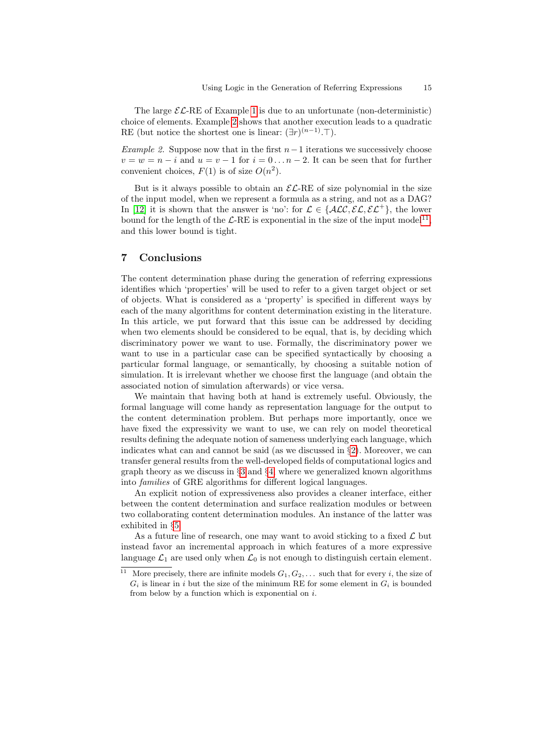The large  $\mathcal{EL}\text{-RE}$  of Example [1](#page-13-1) is due to an unfortunate (non-deterministic) choice of elements. Example [2](#page-14-1) shows that another execution leads to a quadratic RE (but notice the shortest one is linear:  $(\exists r)^{(n-1)}$ . T).

<span id="page-14-1"></span>Example 2. Suppose now that in the first  $n-1$  iterations we successively choose  $v = w = n - i$  and  $u = v - 1$  for  $i = 0 \dots n - 2$ . It can be seen that for further convenient choices,  $F(1)$  is of size  $O(n^2)$ .

But is it always possible to obtain an  $\mathcal{EL}\text{-RE}$  of size polynomial in the size of the input model, when we represent a formula as a string, and not as a DAG? In [\[12\]](#page-15-21) it is shown that the answer is 'no': for  $\mathcal{L} \in \{ALC, \mathcal{EL}, \mathcal{EL}^+\}$ , the lower bound for the length of the  $\mathcal{L}\text{-RE}$  is exponential in the size of the input model<sup>[11](#page-14-2)</sup>, and this lower bound is tight.

# <span id="page-14-0"></span>7 Conclusions

The content determination phase during the generation of referring expressions identifies which 'properties' will be used to refer to a given target object or set of objects. What is considered as a 'property' is specified in different ways by each of the many algorithms for content determination existing in the literature. In this article, we put forward that this issue can be addressed by deciding when two elements should be considered to be equal, that is, by deciding which discriminatory power we want to use. Formally, the discriminatory power we want to use in a particular case can be specified syntactically by choosing a particular formal language, or semantically, by choosing a suitable notion of simulation. It is irrelevant whether we choose first the language (and obtain the associated notion of simulation afterwards) or vice versa.

We maintain that having both at hand is extremely useful. Obviously, the formal language will come handy as representation language for the output to the content determination problem. But perhaps more importantly, once we have fixed the expressivity we want to use, we can rely on model theoretical results defining the adequate notion of sameness underlying each language, which indicates what can and cannot be said (as we discussed in  $\S$ [2\)](#page-1-0). Moreover, we can transfer general results from the well-developed fields of computational logics and graph theory as we discuss in §[3](#page-6-0) and §[4,](#page-8-0) where we generalized known algorithms into families of GRE algorithms for different logical languages.

An explicit notion of expressiveness also provides a cleaner interface, either between the content determination and surface realization modules or between two collaborating content determination modules. An instance of the latter was exhibited in §[5.](#page-12-0)

As a future line of research, one may want to avoid sticking to a fixed  $\mathcal L$  but instead favor an incremental approach in which features of a more expressive language  $\mathcal{L}_1$  are used only when  $\mathcal{L}_0$  is not enough to distinguish certain element.

<span id="page-14-2"></span><sup>&</sup>lt;sup>11</sup> More precisely, there are infinite models  $G_1, G_2, \ldots$  such that for every *i*, the size of  $G_i$  is linear in i but the size of the minimum RE for some element in  $G_i$  is bounded from below by a function which is exponential on  $i$ .